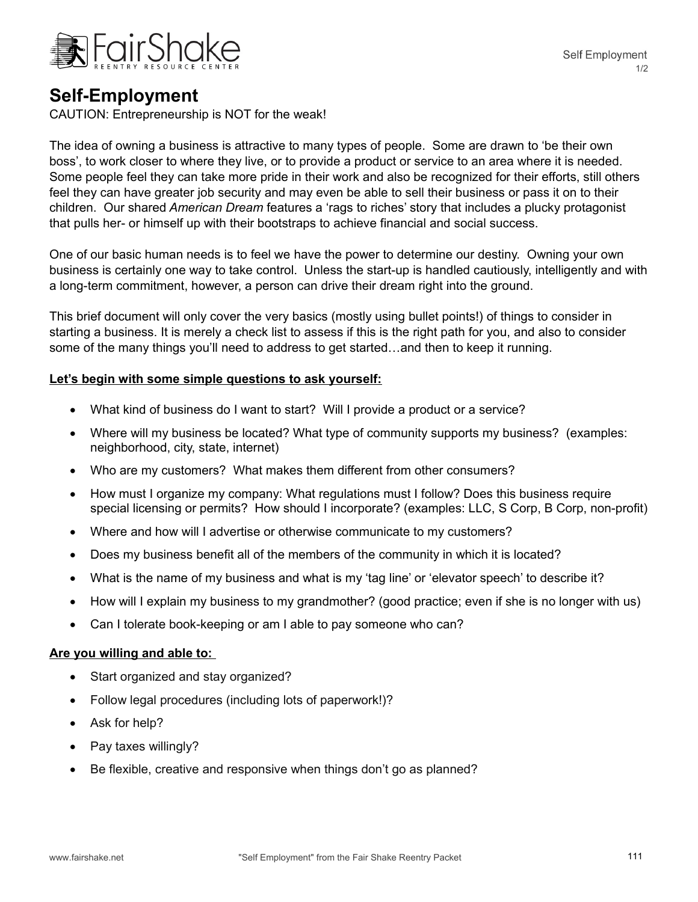

## **Self-Employment**

CAUTION: Entrepreneurship is NOT for the weak!

The idea of owning a business is attractive to many types of people. Some are drawn to 'be their own boss', to work closer to where they live, or to provide a product or service to an area where it is needed. Some people feel they can take more pride in their work and also be recognized for their efforts, still others feel they can have greater job security and may even be able to sell their business or pass it on to their children. Our shared *American Dream* features a 'rags to riches' story that includes a plucky protagonist that pulls her- or himself up with their bootstraps to achieve financial and social success.

One of our basic human needs is to feel we have the power to determine our destiny. Owning your own business is certainly one way to take control. Unless the start-up is handled cautiously, intelligently and with a long-term commitment, however, a person can drive their dream right into the ground.

This brief document will only cover the very basics (mostly using bullet points!) of things to consider in starting a business. It is merely a check list to assess if this is the right path for you, and also to consider some of the many things you'll need to address to get started…and then to keep it running.

### **Let's begin with some simple questions to ask yourself:**

- What kind of business do I want to start? Will I provide a product or a service?
- Where will my business be located? What type of community supports my business? (examples: neighborhood, city, state, internet)
- Who are my customers? What makes them different from other consumers?
- How must I organize my company: What regulations must I follow? Does this business require special licensing or permits? How should I incorporate? (examples: LLC, S Corp, B Corp, non-profit)
- Where and how will I advertise or otherwise communicate to my customers?
- Does my business benefit all of the members of the community in which it is located?
- What is the name of my business and what is my 'tag line' or 'elevator speech' to describe it?
- How will I explain my business to my grandmother? (good practice; even if she is no longer with us)
- Can I tolerate book-keeping or am I able to pay someone who can?

#### **Are you willing and able to:**

- Start organized and stay organized?
- Follow legal procedures (including lots of paperwork!)?
- Ask for help?
- Pay taxes willingly?
- Be flexible, creative and responsive when things don't go as planned?